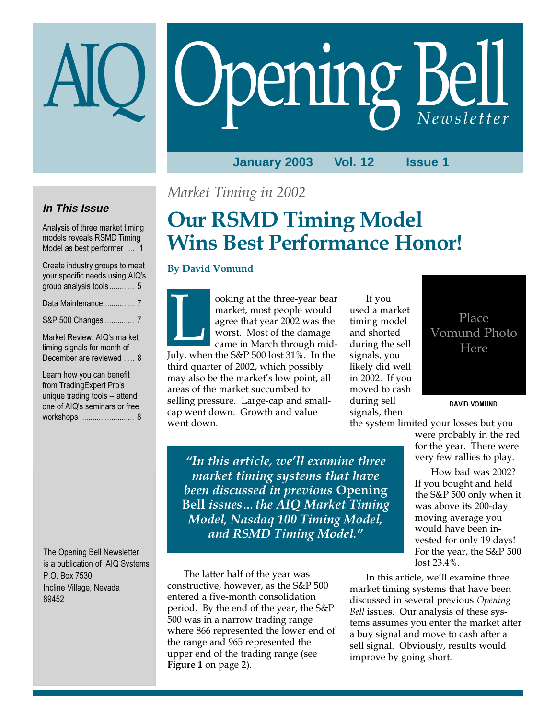# Opening Bell

**January 2003 Vol. 12 Issue 1**

## **In This Issue**

Analysis of three market timing models reveals RSMD Timing Model as best performer .... 1

| Create industry groups to meet<br>your specific needs using AIQ's<br>group analysis tools 5 |
|---------------------------------------------------------------------------------------------|
| Data Maintenance  7                                                                         |
| S&P 500 Changes  7                                                                          |
| Market Review: AIQ's market<br>timing signals for month of<br>December are reviewed  8      |

Learn how you can benefit from TradingExpert Pro's unique trading tools -- attend one of AIQ's seminars or free workshops .......................... 8

The Opening Bell Newsletter is a publication of AIQ Systems P.O. Box 7530 Incline Village, Nevada 89452

## Market Timing in 2002

# Our RSMD Timing Model Wins Best Performance Honor!

## By David Vomund

ooking at the three-year bear market, most people would agree that year 2002 was the worst. Most of the damage came in March through mid-OOKing at the three-year beam<br>
market, most people would<br>
agree that year 2002 was the<br>
worst. Most of the damage<br>
came in March through mid-<br>
July, when the S&P 500 lost 31%. In the third quarter of 2002, which possibly may also be the market's low point, all areas of the market succumbed to selling pressure. Large-cap and smallcap went down. Growth and value went down.

If you used a market timing model and shorted during the sell signals, you likely did well in 2002. If you moved to cash during sell signals, then

"In this article, we'll examine three market timing systems that have been discussed in previous Opening Bell issues…the AIQ Market Timing Model, Nasdaq 100 Timing Model, and RSMD Timing Model."

The latter half of the year was constructive, however, as the S&P 500 entered a five-month consolidation period. By the end of the year, the S&P 500 was in a narrow trading range where 866 represented the lower end of the range and 965 represented the upper end of the trading range (see Figure 1 on page 2).

## Place Vomund Photo Here

DAVID VOMUND

the system limited your losses but you were probably in the red

for the year. There were very few rallies to play.

How bad was 2002? If you bought and held the S&P 500 only when it was above its 200-day moving average you would have been invested for only 19 days! For the year, the S&P 500 lost 23.4%.

In this article, we'll examine three market timing systems that have been discussed in several previous Opening Bell issues. Our analysis of these systems assumes you enter the market after a buy signal and move to cash after a sell signal. Obviously, results would improve by going short.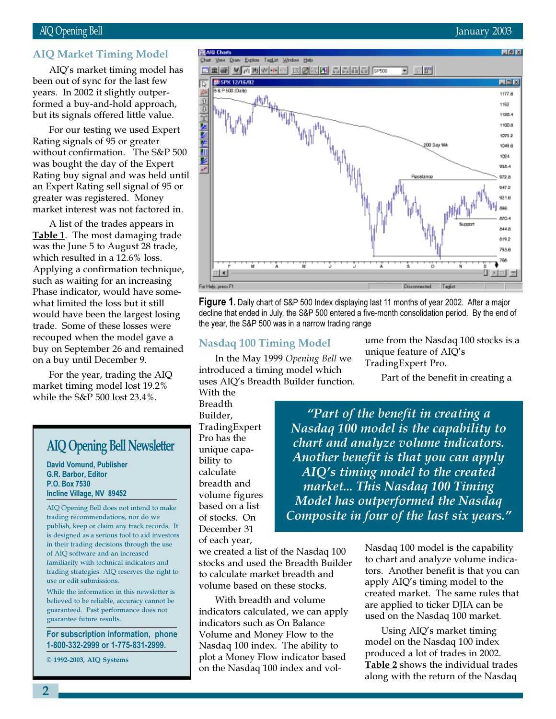## AIQ Opening Bell January 2003

## AIQ Market Timing Model

been out of synchor the last few<br>years. In 2002 it slightly outper-AIQ's market timing model has been out of sync for the last few formed a buy-and-hold approach, but its signals offered little value.

For our testing we used Expert Rating signals of 95 or greater without confirmation. The S&P 500 was bought the day of the Expert Rating buy signal and was held until an Expert Rating sell signal of 95 or greater was registered. Money market interest was not factored in.

A list of the trades appears in Table 1. The most damaging trade was the June 5 to August 28 trade, which resulted in a 12.6% loss. Applying a confirmation technique, such as waiting for an increasing Phase indicator, would have somewhat limited the loss but it still would have been the largest losing trade. Some of these losses were recouped when the model gave a buy on September 26 and remained on a buy until December 9.

For the year, trading the AIQ market timing model lost 19.2% while the S&P 500 lost 23.4%.

## AIQ Opening Bell Newsletter

David Vomund, Publisher G.R. Barbor, Editor P.O. Box 7530 Incline Village, NV 89452

AIQ Opening Bell does not intend to make trading recommendations, nor do we publish, keep or claim any track records. It is designed as a serious tool to aid investors in their trading decisions through the use of AIQ software and an increased familiarity with technical indicators and trading strategies. AIQ reserves the right to use or edit submissions.

While the information in this newsletter is believed to be reliable, accuracy cannot be guaranteed. Past performance does not guarantee future results.

For subscription information, phone 1-800-332-2999 or 1-775-831-2999.

© 1992-2003, AIQ Systems



**Figure 1.** Daily chart of S&P 500 Index displaying last 11 months of year 2002. After a major decline that ended in July, the S&P 500 entered a five-month consolidation period. By the end of the year, the S&P 500 was in a narrow trading range

## Nasdaq 100 Timing Model

In the May 1999 Opening Bell we introduced a timing model which uses AIQ's Breadth Builder function.

With the Breadth Builder, TradingExpert Pro has the unique capability to calculate breadth and volume figures based on a list of stocks. On December 31 of each year,

ume from the Nasdaq 100 stocks is a unique feature of AIQ's TradingExpert Pro.

Part of the benefit in creating a

"Part of the benefit in creating a Nasdaq 100 model is the capability to chart and analyze volume indicators. Another benefit is that you can apply AIQ's timing model to the created market... This Nasdaq 100 Timing Model has outperformed the Nasdaq Composite in four of the last six years."

we created a list of the Nasdaq 100 stocks and used the Breadth Builder to calculate market breadth and volume based on these stocks.

With breadth and volume indicators calculated, we can apply indicators such as On Balance Volume and Money Flow to the Nasdaq 100 index. The ability to plot a Money Flow indicator based on the Nasdaq 100 index and volNasdaq 100 model is the capability to chart and analyze volume indicators. Another benefit is that you can apply AIQ's timing model to the created market. The same rules that are applied to ticker DJIA can be used on the Nasdaq 100 market.

Using AIQ's market timing model on the Nasdaq 100 index produced a lot of trades in 2002. Table 2 shows the individual trades along with the return of the Nasdaq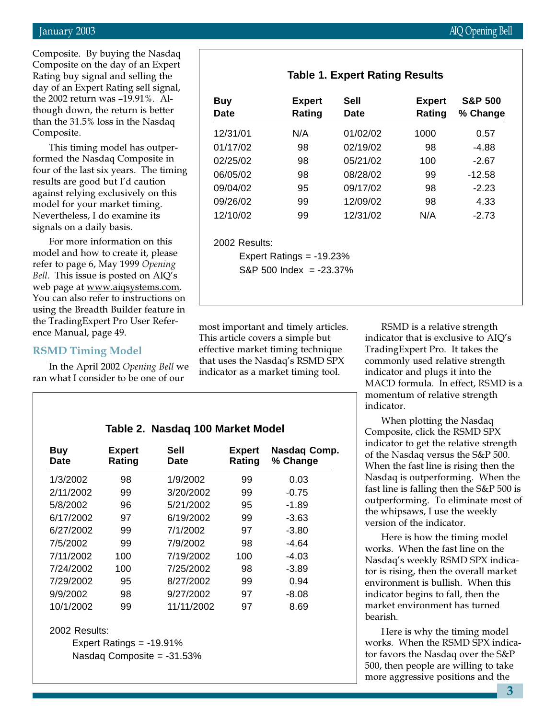Composite. By buying the Nasdaq Composite on the day of an Expert Rating buy signal and selling the day of an Expert Rating sell signal, the 2002 return was –19.91%. Although down, the return is better than the 31.5% loss in the Nasdaq Composite.

This timing model has outperformed the Nasdaq Composite in four of the last six years. The timing results are good but I'd caution against relying exclusively on this model for your market timing. Nevertheless, I do examine its signals on a daily basis.

For more information on this model and how to create it, please refer to page 6, May 1999 Opening Bell. This issue is posted on AIQ's web page at <u>www.aiqsystems.com</u> You can also refer to instructions on using the Breadth Builder feature in the TradingExpert Pro User Reference Manual, page 49.

## RSMD Timing Model

In the April 2002 Opening Bell we ran what I consider to be one of our

|                 | 12/31/01                    | N/A | 01/02/02 | 1000 | 0.57     |  |
|-----------------|-----------------------------|-----|----------|------|----------|--|
|                 | 01/17/02                    | 98  | 02/19/02 | 98   | $-4.88$  |  |
|                 | 02/25/02                    | 98  | 05/21/02 | 100  | $-2.67$  |  |
| ing             | 06/05/02                    | 98  | 08/28/02 | 99   | $-12.58$ |  |
|                 | 09/04/02                    | 95  | 09/17/02 | 98   | $-2.23$  |  |
|                 | 09/26/02                    | 99  | 12/09/02 | 98   | 4.33     |  |
|                 | 12/10/02                    | 99  | 12/31/02 | N/A  | $-2.73$  |  |
|                 | 2002 Results:               |     |          |      |          |  |
|                 | Expert Ratings $= -19.23\%$ |     |          |      |          |  |
|                 | $S\&P 500$ Index = -23.37%  |     |          |      |          |  |
| 3<br><u>n</u> . |                             |     |          |      |          |  |
|                 |                             |     |          |      |          |  |

**Table 1. Expert Rating Results**

**Buy Expert Sell Expert S&P 500 Date Rating Date Rating % Change**

most important and timely articles. This article covers a simple but effective market timing technique that uses the Nasdaq's RSMD SPX indicator as a market timing tool.

RSMD is a relative strength indicator that is exclusive to AIQ's TradingExpert Pro. It takes the commonly used relative strength indicator and plugs it into the MACD formula. In effect, RSMD is a momentum of relative strength indicator.

When plotting the Nasdaq Composite, click the RSMD SPX indicator to get the relative strength of the Nasdaq versus the S&P 500. When the fast line is rising then the Nasdaq is outperforming. When the fast line is falling then the S&P 500 is outperforming. To eliminate most of the whipsaws, I use the weekly version of the indicator.

Here is how the timing model works. When the fast line on the Nasdaq's weekly RSMD SPX indicator is rising, then the overall market environment is bullish. When this indicator begins to fall, then the market environment has turned bearish.

Here is why the timing model works. When the RSMD SPX indicator favors the Nasdaq over the S&P 500, then people are willing to take more aggressive positions and the

## **Table 2. Nasdaq 100 Market Model**

| Buy<br><b>Date</b> | <b>Expert</b><br>Rating | Sell<br><b>Date</b> | <b>Expert</b><br>Rating | Nasdaq Comp.<br>% Change |
|--------------------|-------------------------|---------------------|-------------------------|--------------------------|
| 1/3/2002           | 98                      | 1/9/2002            | 99                      | 0.03                     |
| 2/11/2002          | 99                      | 3/20/2002           | 99                      | $-0.75$                  |
| 5/8/2002           | 96                      | 5/21/2002           | 95                      | $-1.89$                  |
| 6/17/2002          | 97                      | 6/19/2002           | 99                      | -3.63                    |
| 6/27/2002          | 99                      | 7/1/2002            | 97                      | $-3.80$                  |
| 7/5/2002           | 99                      | 7/9/2002            | 98                      | $-4.64$                  |
| 7/11/2002          | 100                     | 7/19/2002           | 100                     | $-4.03$                  |
| 7/24/2002          | 100                     | 7/25/2002           | 98                      | $-3.89$                  |
| 7/29/2002          | 95                      | 8/27/2002           | 99                      | 0.94                     |
| 9/9/2002           | 98                      | 9/27/2002           | 97                      | $-8.08$                  |
| 10/1/2002          | 99                      | 11/11/2002          | 97                      | 8.69                     |

## 2002 Results:

Expert Ratings = -19.91% Nasdaq Composite = -31.53%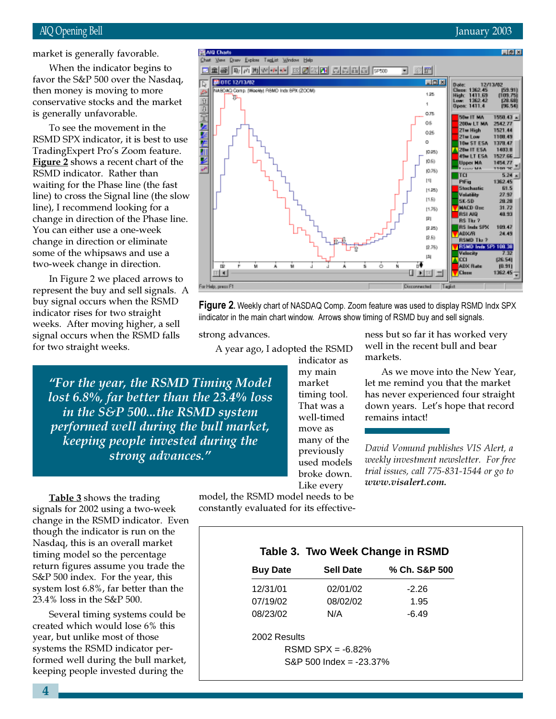## AIQ Opening Bell January 2003

market is generally favorable.

then money is moving to more When the indicator begins to favor the S&P 500 over the Nasdaq, conservative stocks and the market is generally unfavorable.

To see the movement in the RSMD SPX indicator, it is best to use TradingExpert Pro's Zoom feature. Figure 2 shows a recent chart of the RSMD indicator. Rather than waiting for the Phase line (the fast line) to cross the Signal line (the slow line), I recommend looking for a change in direction of the Phase line. You can either use a one-week change in direction or eliminate some of the whipsaws and use a two-week change in direction.

In Figure 2 we placed arrows to represent the buy and sell signals. A buy signal occurs when the RSMD indicator rises for two straight weeks. After moving higher, a sell signal occurs when the RSMD falls for two straight weeks.



**Figure 2.** Weekly chart of NASDAQ Comp. Zoom feature was used to display RSMD Indx SPX iindicator in the main chart window. Arrows show timing of RSMD buy and sell signals.

strong advances.

A year ago, I adopted the RSMD

"For the year, the RSMD Timing Model lost 6.8%, far better than the 23.4% loss in the S&P 500...the RSMD system performed well during the bull market, keeping people invested during the strong advances."

indicator as my main market timing tool. That was a well-timed move as many of the previously used models broke down. Like every

ness but so far it has worked very well in the recent bull and bear markets.

As we move into the New Year, let me remind you that the market has never experienced four straight down years. Let's hope that record remains intact!

David Vomund publishes VIS Alert, a weekly investment newsletter. For free trial issues, call 775-831-1544 or go to www.visalert.com.

Table 3 shows the trading signals for 2002 using a two-week change in the RSMD indicator. Even though the indicator is run on the Nasdaq, this is an overall market timing model so the percentage return figures assume you trade the S&P 500 index. For the year, this system lost 6.8%, far better than the 23.4% loss in the S&P 500.

Several timing systems could be created which would lose 6% this year, but unlike most of those systems the RSMD indicator performed well during the bull market, keeping people invested during the

model, the RSMD model needs to be constantly evaluated for its effective-

| Table 3. Two Week Change in RSMD |  |  |  |  |  |
|----------------------------------|--|--|--|--|--|
|----------------------------------|--|--|--|--|--|

| <b>Buy Date</b> | <b>Sell Date</b> | % Ch. S&P 500 |
|-----------------|------------------|---------------|
| 12/31/01        | 02/01/02         | $-2.26$       |
| 07/19/02        | 08/02/02         | 1.95          |
| 08/23/02        | N/A              | -6.49         |
|                 |                  |               |

2002 Results

 $RSMD$  SPX =  $-6.82%$ S&P 500 Index = -23.37%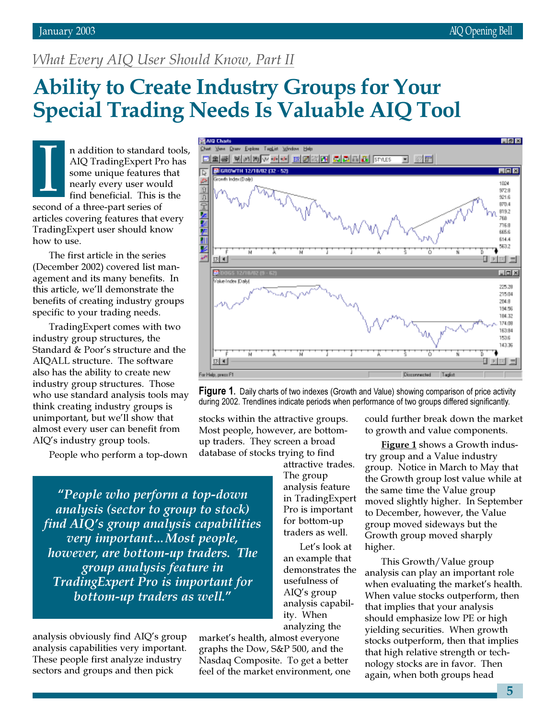同図図

**Ligix** 

1004

9728 921.6 **B70.4** 819.2 768 715.9 885.6 614.4 563.2 7

마지코

# What Every AIQ User Should Know, Part II

# Ability to Create Industry Groups for Your<br>Special Trading Needs Is Valuable AIQ To Special Trading Needs Is Valuable AIQ Tool

**Your Draw Explore TagList Window Help** 

BRIGROWTH 12/18/02 (32 - 52)

╔ P

 $\hat{v}$ 

困难

**ELES WANT AN EQRIC SERIES TOOLS** 

n addition to standard tools, AIQ TradingExpert Pro has some unique features that nearly every user would find beneficial. This is the second of a three-part series of articles covering features that every TradingExpert user should know how to use.  $\prod_{\text{even}}$ 

The first article in the series (December 2002) covered list management and its many benefits. In this article, we'll demonstrate the benefits of creating industry groups specific to your trading needs.

TradingExpert comes with two industry group structures, the Standard & Poor's structure and the AIQALL structure. The software also has the ability to create new industry group structures. Those who use standard analysis tools may think creating industry groups is unimportant, but we'll show that almost every user can benefit from AIQ's industry group tools.

People who perform a top-down

"People who perform a top-down analysis (sector to group to stock) find AIQ's group analysis capabilities very important…Most people, however, are bottom-up traders. The group analysis feature in TradingExpert Pro is important for bottom-up traders as well."

analysis obviously find AIQ's group analysis capabilities very important. These people first analyze industry sectors and groups and then pick

market's health, almost everyone graphs the Dow, S&P 500, and the Nasdaq Composite. To get a better feel of the market environment, one

stocks within the attractive groups. Most people, however, are bottomup traders. They screen a broad database of stocks trying to find

could further break down the market to growth and value components.

**Figure 1** shows a Growth industry group and a Value industry group. Notice in March to May that the Growth group lost value while at the same time the Value group moved slightly higher. In September to December, however, the Value group moved sideways but the Growth group moved sharply higher.

This Growth/Value group analysis can play an important role when evaluating the market's health. When value stocks outperform, then that implies that your analysis should emphasize low PE or high yielding securities. When growth stocks outperform, then that implies that high relative strength or technology stocks are in favor. Then again, when both groups head

**象** DOGS 12/1 <u>니다</u> × Vake Index Daily 225.28 215.04 204.9 194.56 184.32 174.09 163.94 153.6 143.36  $ER$  4 O E For Help, press F1 Disconnected Tagist

日図面



attractive trades. The group analysis feature in TradingExpert Pro is important for bottom-up traders as well.

Let's look at an example that demonstrates the usefulness of AIQ's group analysis capability. When analyzing the

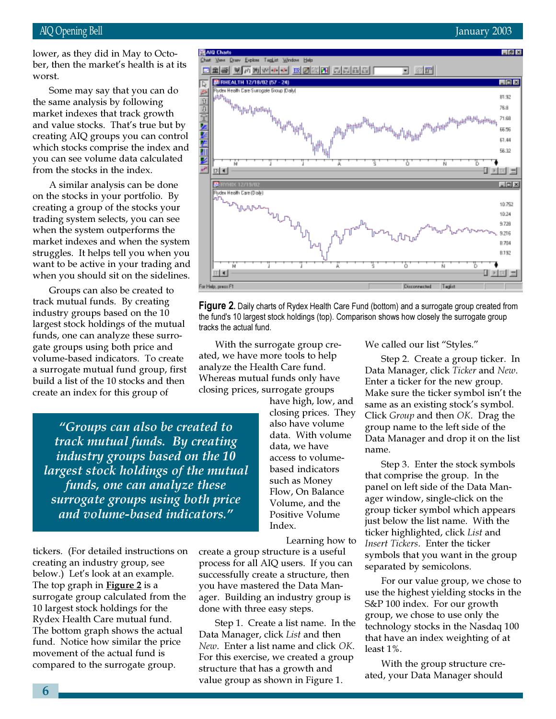lower, as they did in May to October, then the market's health is at its worst.

Some may say that you can do the same analysis by following market indexes that track growth and value stocks. That's true but by creating AIQ groups you can control which stocks comprise the index and you can see volume data calculated from the stocks in the index.

A similar analysis can be done on the stocks in your portfolio. By creating a group of the stocks your trading system selects, you can see when the system outperforms the market indexes and when the system struggles. It helps tell you when you want to be active in your trading and when you should sit on the sidelines.

Groups can also be created to track mutual funds. By creating industry groups based on the 10 largest stock holdings of the mutual funds, one can analyze these surrogate groups using both price and volume-based indicators. To create a surrogate mutual fund group, first build a list of the 10 stocks and then create an index for this group of

"Groups can also be created to track mutual funds. By creating industry groups based on the 10 largest stock holdings of the mutual funds, one can analyze these surrogate groups using both price and volume-based indicators."

tickers. (For detailed instructions on creating an industry group, see below.) Let's look at an example. The top graph in **Figure 2** is a surrogate group calculated from the 10 largest stock holdings for the Rydex Health Care mutual fund. The bottom graph shows the actual fund. Notice how similar the price movement of the actual fund is compared to the surrogate group.



**Figure 2.** Daily charts of Rydex Health Care Fund (bottom) and a surrogate group created from the fund's 10 largest stock holdings (top). Comparison shows how closely the surrogate group tracks the actual fund.

With the surrogate group created, we have more tools to help analyze the Health Care fund. Whereas mutual funds only have closing prices, surrogate groups

> have high, low, and closing prices. They also have volume data. With volume data, we have access to volumebased indicators such as Money Flow, On Balance Volume, and the Positive Volume Index.

> > Learning how to

create a group structure is a useful process for all AIQ users. If you can successfully create a structure, then you have mastered the Data Manager. Building an industry group is done with three easy steps.

Step 1. Create a list name. In the Data Manager, click List and then New. Enter a list name and click OK. For this exercise, we created a group structure that has a growth and value group as shown in Figure 1.

We called our list "Styles."

Step 2. Create a group ticker. In Data Manager, click Ticker and New. Enter a ticker for the new group. Make sure the ticker symbol isn't the same as an existing stock's symbol. Click Group and then OK. Drag the group name to the left side of the Data Manager and drop it on the list name.

Step 3. Enter the stock symbols that comprise the group. In the panel on left side of the Data Manager window, single-click on the group ticker symbol which appears just below the list name. With the ticker highlighted, click List and Insert Tickers. Enter the ticker symbols that you want in the group separated by semicolons.

For our value group, we chose to use the highest yielding stocks in the S&P 100 index. For our growth group, we chose to use only the technology stocks in the Nasdaq 100 that have an index weighting of at least 1%.

With the group structure created, your Data Manager should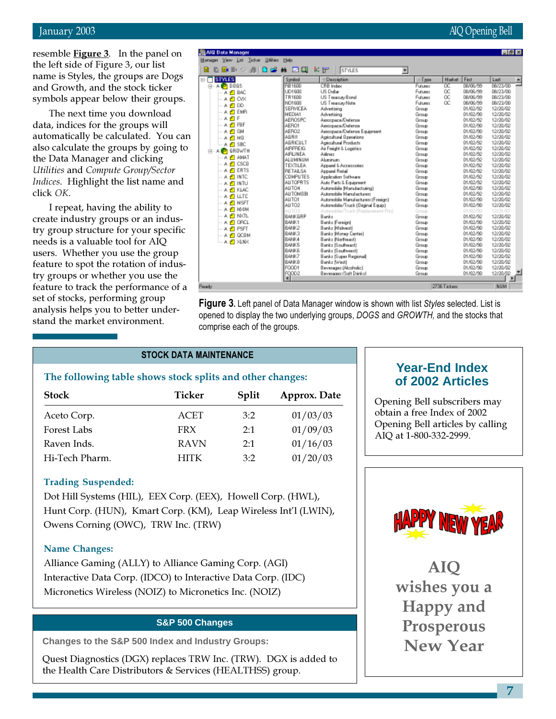resemble **Figure 3**. In the panel on the left side of Figure 3, our list name is Styles, the groups are Dogs and Growth, and the stock ticker symbols appear below their groups.

The next time you download data, indices for the groups will automatically be calculated. You can also calculate the groups by going to the Data Manager and clicking Utilities and Compute Group/Sector Indices. Highlight the list name and click OK.

I repeat, having the ability to create industry groups or an industry group structure for your specific needs is a valuable tool for AIQ users. Whether you use the group feature to spot the rotation of industry groups or whether you use the feature to track the performance of a set of stocks, performing group analysis helps you to better understand the market environment.

| January 2003 | AIQ Opening Bell |
|--------------|------------------|
|              |                  |

| AIR Data Manager                                           |                  |                                     |                 |               |          | $\blacksquare$ $\blacksquare$ $\blacksquare$ |   |
|------------------------------------------------------------|------------------|-------------------------------------|-----------------|---------------|----------|----------------------------------------------|---|
| Nanager View List Ticker Uffries Help                      |                  |                                     |                 |               |          |                                              |   |
| 日富翁<br>$\mathbf{R}$ $\mathbf{R}$ $\mathbf{R}$ $\mathbf{R}$ | ыа               | * ir<br><b>STYLES</b>               | ۳               |               |          |                                              |   |
| <b>STYLES</b><br>Eŀ                                        | <b>Syndrol</b>   | $-$ Decombine                       | $-$ Tgas        | <b>Nadost</b> | First    | Last                                         | ۰ |
| $A$ $b$ DDGS<br>Ė-                                         | <b>P91600</b>    | <b>CRB</b> Index                    | Futurez         | œ             | DR/06/99 | 03/23/00                                     |   |
| A ET BAC                                                   | <b>UD1600</b>    | US Dalar                            | Futurez         | œ             | 08/06/99 | 08/23/00                                     |   |
| 人目 O水                                                      | TR1600           | US Teams Bond                       | <b>Futures:</b> | OC.           | 08/06/99 | 08/23/00                                     |   |
| A 15 DD                                                    | NO1600           | US Teams Note                       | Futurer         | œ             | 08/08/99 | 08/23/00                                     |   |
|                                                            | SERVICEA         | Advertising                         | Group           |               | 01/02/92 | 12/20/02                                     |   |
| A LE EMB                                                   | MEDIA1           | Advertising                         | Group           |               | 01/02/90 | 12/20/02                                     |   |
| 人名日                                                        | AEROSPC          | Аватраск/Онічтов                    | Group           |               | 01/02/92 | 12/20/02                                     |   |
| 人凸阳F                                                       | <b>AERO1</b>     | Assorpace/Defense                   | Group           |               | 01/02/90 | 12/20/02                                     |   |
| A ITI GN                                                   | AERO2            | Assorpace/Defense Equipment         | Group           |               | 01/02/90 | 12/20/02                                     |   |
| A MO                                                       | <b>AGRI1</b>     | Apricultural Demations              | Group           |               | 01/02/90 | 12/20/02                                     |   |
| ⊕ sac                                                      | AGRICULT         | Apricultural Products               | Group           |               | 01/02/92 | 12/20/02                                     |   |
| <b>GROWTH</b>                                              | <b>AIRFREIG</b>  | Air Freight & Logistics             | Group           |               | 01/02/92 | 12/20/02                                     |   |
| A PLANAT                                                   | <b>AIRLINEA</b>  | Aifmer                              | Group           |               | 01/02/92 | 12/20/02                                     |   |
|                                                            | <b>ALUMINUM</b>  | Abericans                           | Group           |               | 01/02/92 | 12/20/02                                     |   |
| A IFI CSCO                                                 | <b>TEXTILEA</b>  | Apparel L Appennoist                | Group           |               | 01/02/92 | 12/20/02                                     |   |
| A <b>FT</b> ERTS                                           | <b>RETALSA</b>   | Apparel Fietail                     | Group           |               | 01/02/92 | 12/20/02                                     |   |
| A INTO                                                     | COMPUTES         | Application Software                | Group           |               | 01/02/92 | 12/20/02                                     |   |
| A EINTU                                                    | <b>ALLTOPRTS</b> | Auto Partz & Equipment              | Group           |               | 01/02/92 | 12/20/02                                     |   |
| A IFI KLAC                                                 | ALITO4           | Autorachile (Manufacturing)         | Group           |               | 01/02/90 | 12/20/02                                     |   |
| A FILLTE                                                   | <b>ALLTOMOBI</b> | Autorechile Manufacturers           | Group           |               | 01/02/92 | 12/20/02                                     |   |
| A EINSET                                                   | <b>AUTO1</b>     | Automobile Manufacturer: (Fossion)  | Group           |               | 01/02/90 | 12/20/02                                     |   |
|                                                            | AUTO2            | Automobile/Truck (Driginal Equip)   | Group           |               | 01/02/90 | 12/20/02                                     |   |
| A EI MAIN                                                  | AUTO3            | Automobile/Truck (Replacement Prto) | Group           |               | 01/02/90 | 12/31/87                                     |   |
| A LA NATL                                                  | RANKGRP          | Banks                               | Group           |               | 01/02/92 | 12/20/02                                     |   |
| A ET ORCL                                                  | 844K1            | Bank: Foreign!                      | Group           |               | 01/02/90 | 12/20/02                                     |   |
| A <i>E</i> T PSFT                                          | <b>BANK2</b>     | Bank: Midwedd                       | Group           |               | 01/02/90 | 12/20/02                                     |   |
| A EL QCOM                                                  | <b>BANK3</b>     | Bank: Money Center)                 | Group           |               | 01/02/90 | 12/20/02                                     |   |
| A 凸 XLNX                                                   | 84484            | Bank: Northeast)                    | Group           |               | 01/02/90 | 12/20/02                                     |   |
|                                                            | <b>RANK5</b>     | Banka (Southeast)                   | Group           |               | 01/02/90 | 12/20/02                                     |   |
|                                                            | <b>BANKE</b>     | Banks IS outween!                   | Group           |               | 01/02/90 | 12/20/02                                     |   |
|                                                            | 84487            | Bank: ISuper Repional               | Group           |               | 01/02/90 | 12/20/02                                     |   |
|                                                            | <b>BANKB</b>     | Banks (West)                        | Group           |               | 01/02/90 | 12/20/02                                     |   |
|                                                            | FOOD1            | Beverage: (Alcoholic)               | Group           |               | 01/02/90 | 12/20/02                                     |   |
|                                                            | FQ002            | Beyessex (Soft Dinkel)              | Group           |               | 01/02/90 | 12/20/02                                     |   |
|                                                            |                  |                                     |                 |               |          |                                              |   |
| <b>Seady</b>                                               |                  |                                     |                 | 2736 Tickett  |          | <b>NUM</b>                                   |   |
|                                                            |                  |                                     |                 |               |          |                                              |   |

**Figure 3.** Left panel of Data Manager window is shown with list Styles selected. List is opened to display the two underlying groups, DOGS and GROWTH, and the stocks that comprise each of the groups.

## STOCK DATA MAINTENANCE

## The following table shows stock splits and other changes:

| <b>Stock</b>   | Ticker      | Split | Approx. Date |
|----------------|-------------|-------|--------------|
| Aceto Corp.    | ACET        | 3:2   | 01/03/03     |
| Forest Labs    | <b>FRX</b>  | 2:1   | 01/09/03     |
| Raven Inds.    | <b>RAVN</b> | 2:1   | 01/16/03     |
| Hi-Tech Pharm. | <b>HITK</b> | 3:2   | 01/20/03     |

## Trading Suspended:

Dot Hill Systems (HIL), EEX Corp. (EEX), Howell Corp. (HWL), Hunt Corp. (HUN), Kmart Corp. (KM), Leap Wireless Int'l (LWIN), Owens Corning (OWC), TRW Inc. (TRW)

## Name Changes:

Alliance Gaming (ALLY) to Alliance Gaming Corp. (AGI) Interactive Data Corp. (IDCO) to Interactive Data Corp. (IDC) Micronetics Wireless (NOIZ) to Micronetics Inc. (NOIZ)

## **S&P 500 Changes**

**Changes to the S&P 500 Index and Industry Groups:**

Quest Diagnostics (DGX) replaces TRW Inc. (TRW). DGX is added to the Health Care Distributors & Services (HEALTHSS) group.

## **Year-End Index of 2002 Articles**

Opening Bell subscribers may obtain a free Index of 2002 Opening Bell articles by calling AIQ at 1-800-332-2999.



AIQ wishes you a Happy and Prosperous New Year